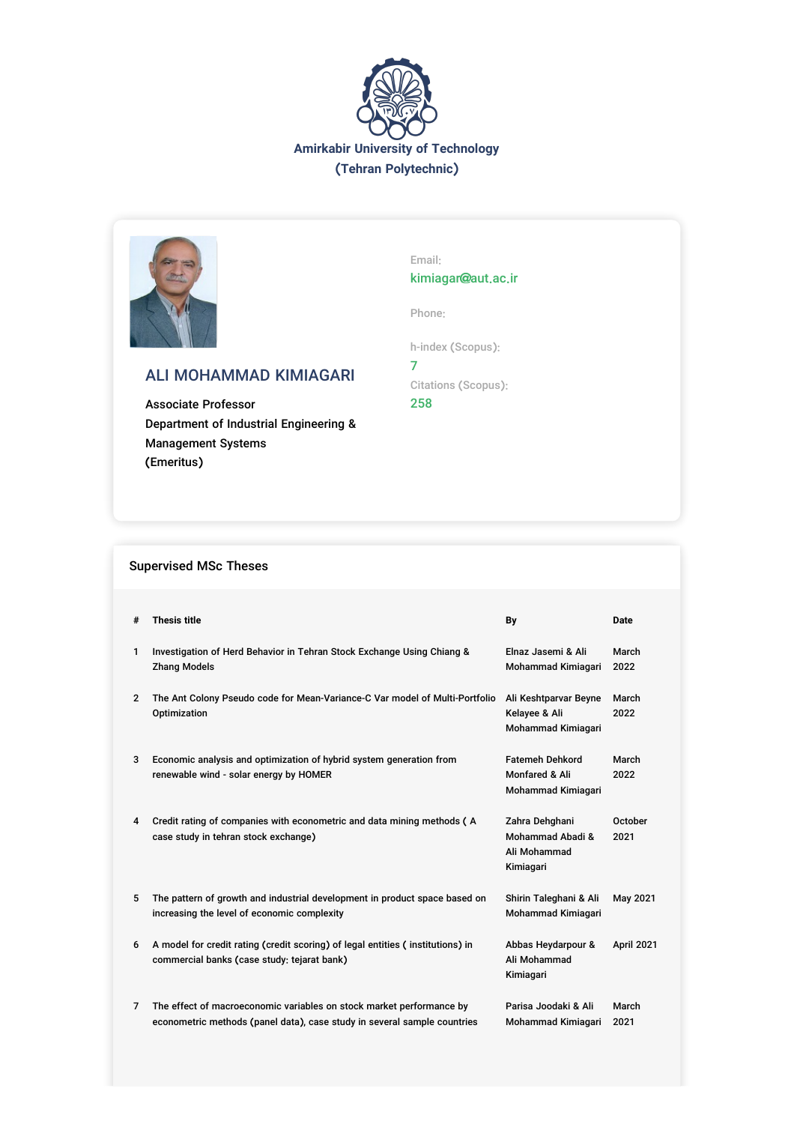



# ALI MOHAMMAD KIMIAGARI

Associate Professor Department of Industrial Engineering & Management Systems (Emeritus)

Email: kimiagar@aut.ac.ir

Phone:

h-index (Scopus): 7 Citations (Scopus): 258

# Supervised MSc Theses

| #              | <b>Thesis title</b>                                                                                                                              | By                                                              | Date            |
|----------------|--------------------------------------------------------------------------------------------------------------------------------------------------|-----------------------------------------------------------------|-----------------|
| 1              | Investigation of Herd Behavior in Tehran Stock Exchange Using Chiang &<br><b>Zhang Models</b>                                                    | Elnaz Jasemi & Ali<br>Mohammad Kimiagari                        | March<br>2022   |
| $\overline{2}$ | The Ant Colony Pseudo code for Mean-Variance-C Var model of Multi-Portfolio<br>Optimization                                                      | Ali Keshtparvar Beyne<br>Kelayee & Ali<br>Mohammad Kimiagari    | March<br>2022   |
| 3              | Economic analysis and optimization of hybrid system generation from<br>renewable wind - solar energy by HOMER                                    | <b>Fatemeh Dehkord</b><br>Monfared & Ali<br>Mohammad Kimiagari  | March<br>2022   |
| 4              | Credit rating of companies with econometric and data mining methods (A<br>case study in tehran stock exchange)                                   | Zahra Dehghani<br>Mohammad Ahadi &<br>Ali Mohammad<br>Kimiagari | October<br>2021 |
| 5              | The pattern of growth and industrial development in product space based on<br>increasing the level of economic complexity                        | Shirin Taleghani & Ali<br>Mohammad Kimiagari                    | May 2021        |
| 6              | A model for credit rating (credit scoring) of legal entities (institutions) in<br>commercial banks (case study; tejarat bank)                    | Abbas Heydarpour &<br>Ali Mohammad<br>Kimiagari                 | April 2021      |
| $\overline{7}$ | The effect of macroeconomic variables on stock market performance by<br>econometric methods (panel data), case study in several sample countries | Parisa Joodaki & Ali<br>Mohammad Kimiagari                      | March<br>2021   |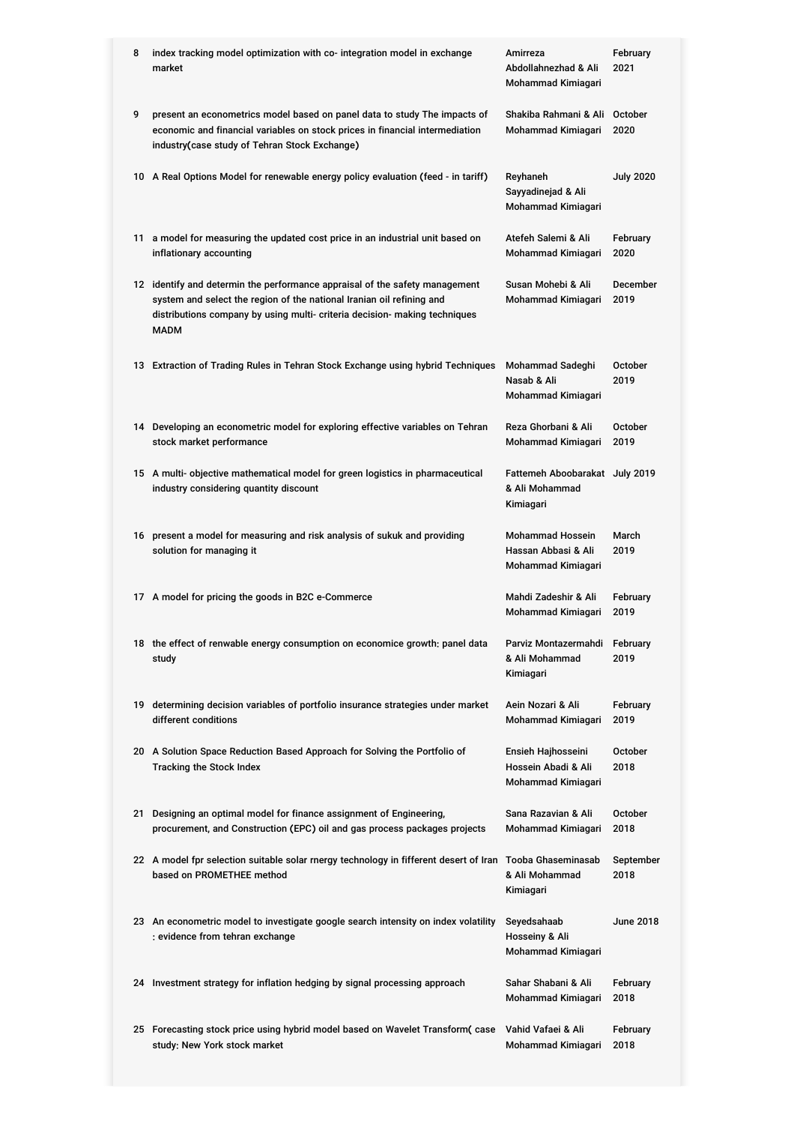| 8  | index tracking model optimization with co-integration model in exchange<br>Amirreza<br>market<br>Abdollahnezhad & Ali<br>Mohammad Kimiagari                                                                                                                                                   |                                                                 | February<br>2021       |
|----|-----------------------------------------------------------------------------------------------------------------------------------------------------------------------------------------------------------------------------------------------------------------------------------------------|-----------------------------------------------------------------|------------------------|
| 9  | present an econometrics model based on panel data to study The impacts of<br>economic and financial variables on stock prices in financial intermediation<br>industry (case study of Tehran Stock Exchange)                                                                                   | Shakiba Rahmani & Ali<br>Mohammad Kimiagari                     | October<br>2020        |
|    | 10 A Real Options Model for renewable energy policy evaluation (feed - in tariff)                                                                                                                                                                                                             | Reyhaneh<br>Sayyadinejad & Ali<br>Mohammad Kimiagari            | <b>July 2020</b>       |
|    | 11 a model for measuring the updated cost price in an industrial unit based on<br>inflationary accounting                                                                                                                                                                                     | Atefeh Salemi & Ali<br>Mohammad Kimiagari                       | February<br>2020       |
|    | 12 identify and determin the performance appraisal of the safety management<br>Susan Mohebi & Ali<br>system and select the region of the national Iranian oil refining and<br>Mohammad Kimiagari<br>distributions company by using multi- criteria decision- making techniques<br><b>MADM</b> |                                                                 | December<br>2019       |
|    | 13 Extraction of Trading Rules in Tehran Stock Exchange using hybrid Techniques                                                                                                                                                                                                               | Mohammad Sadeghi<br>Nasab & Ali<br>Mohammad Kimiagari           | <b>October</b><br>2019 |
|    | 14 Developing an econometric model for exploring effective variables on Tehran<br>stock market performance                                                                                                                                                                                    | Reza Ghorbani & Ali<br>Mohammad Kimiagari                       | October<br>2019        |
|    | 15 A multi- objective mathematical model for green logistics in pharmaceutical<br>industry considering quantity discount                                                                                                                                                                      | Fattemeh Aboobarakat July 2019<br>& Ali Mohammad<br>Kimiagari   |                        |
|    | 16 present a model for measuring and risk analysis of sukuk and providing<br>solution for managing it                                                                                                                                                                                         | Mohammad Hossein<br>Hassan Abbasi & Ali<br>Mohammad Kimiagari   | March<br>2019          |
|    | 17 A model for pricing the goods in B2C e-Commerce                                                                                                                                                                                                                                            | Mahdi Zadeshir & Ali<br>Mohammad Kimiagari                      | February<br>2019       |
|    | 18 the effect of renwable energy consumption on economice growth: panel data<br>study                                                                                                                                                                                                         | Parviz Montazermahdi<br>& Ali Mohammad<br>Kimiagari             | February<br>2019       |
|    | 19 determining decision variables of portfolio insurance strategies under market<br>different conditions                                                                                                                                                                                      | Aein Nozari & Ali<br>Mohammad Kimiagari                         | February<br>2019       |
|    | 20 A Solution Space Reduction Based Approach for Solving the Portfolio of<br><b>Tracking the Stock Index</b>                                                                                                                                                                                  | Ensieh Hajhosseini<br>Hossein Abadi & Ali<br>Mohammad Kimiagari | <b>October</b><br>2018 |
| 21 | Designing an optimal model for finance assignment of Engineering,<br>procurement, and Construction (EPC) oil and gas process packages projects                                                                                                                                                | Sana Razavian & Ali<br>Mohammad Kimiagari                       | <b>October</b><br>2018 |
|    | 22 A model fpr selection suitable solar rnergy technology in fifferent desert of Iran<br>based on PROMETHEE method                                                                                                                                                                            | Tooba Ghaseminasab<br>& Ali Mohammad<br>Kimiagari               | September<br>2018      |
|    | 23 An econometric model to investigate google search intensity on index volatility<br>: evidence from tehran exchange                                                                                                                                                                         | Seyedsahaab<br>Hosseiny & Ali<br>Mohammad Kimiagari             | <b>June 2018</b>       |
|    | 24 Investment strategy for inflation hedging by signal processing approach                                                                                                                                                                                                                    | Sahar Shabani & Ali<br>Mohammad Kimiagari                       | February<br>2018       |
|    | 25 Forecasting stock price using hybrid model based on Wavelet Transform( case<br>study: New York stock market                                                                                                                                                                                | Vahid Vafaei & Ali<br>Mohammad Kimiagari                        | February<br>2018       |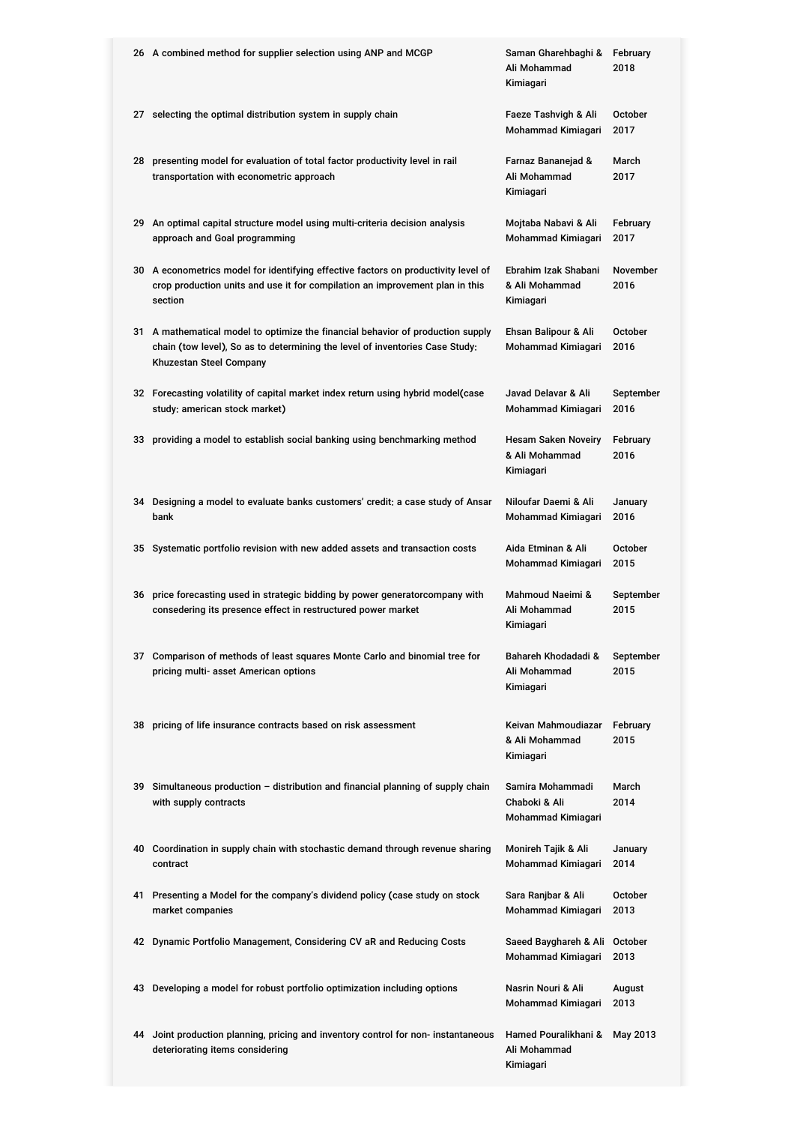|    | 26 A combined method for supplier selection using ANP and MCGP<br>Saman Gharehbaghi &<br>Ali Mohammad<br>Kimiagari                                                                         |                                                         | February<br>2018  |
|----|--------------------------------------------------------------------------------------------------------------------------------------------------------------------------------------------|---------------------------------------------------------|-------------------|
|    | 27 selecting the optimal distribution system in supply chain                                                                                                                               | Faeze Tashvigh & Ali<br>Mohammad Kimiagari              | October<br>2017   |
|    | 28 presenting model for evaluation of total factor productivity level in rail<br>transportation with econometric approach                                                                  | Farnaz Bananejad &<br>Ali Mohammad<br>Kimiagari         | March<br>2017     |
|    | 29 An optimal capital structure model using multi-criteria decision analysis<br>approach and Goal programming                                                                              | Mojtaba Nabavi & Ali<br>Mohammad Kimiagari              | February<br>2017  |
|    | 30 A econometrics model for identifying effective factors on productivity level of<br>crop production units and use it for compilation an improvement plan in this<br>section              | Ebrahim Izak Shabani<br>& Ali Mohammad<br>Kimiagari     | November<br>2016  |
|    | 31 A mathematical model to optimize the financial behavior of production supply<br>chain (tow level), So as to determining the level of inventories Case Study:<br>Khuzestan Steel Company | Ehsan Balipour & Ali<br>Mohammad Kimiagari              | October<br>2016   |
|    | 32 Forecasting volatility of capital market index return using hybrid model(case<br>study: american stock market)                                                                          | Javad Delavar & Ali<br>Mohammad Kimiagari               | September<br>2016 |
|    | 33 providing a model to establish social banking using benchmarking method<br>Hesam Saken Noveiry<br>& Ali Mohammad<br>Kimiagari                                                           |                                                         | February<br>2016  |
|    | 34 Designing a model to evaluate banks customers' credit: a case study of Ansar<br>bank                                                                                                    | Niloufar Daemi & Ali<br>Mohammad Kimiagari              | January<br>2016   |
|    | 35 Systematic portfolio revision with new added assets and transaction costs                                                                                                               | Aida Etminan & Ali<br>Mohammad Kimiagari                | October<br>2015   |
|    | 36 price forecasting used in strategic bidding by power generatorcompany with<br>consedering its presence effect in restructured power market                                              | Mahmoud Naeimi &<br>Ali Mohammad<br>Kimiagari           | September<br>2015 |
|    | 37 Comparison of methods of least squares Monte Carlo and binomial tree for<br>pricing multi- asset American options                                                                       | Bahareh Khodadadi &<br>Ali Mohammad<br>Kimiagari        | September<br>2015 |
| 38 | pricing of life insurance contracts based on risk assessment                                                                                                                               | Keivan Mahmoudiazar<br>& Ali Mohammad<br>Kimiagari      | February<br>2015  |
|    | 39 Simultaneous production – distribution and financial planning of supply chain<br>with supply contracts                                                                                  | Samira Mohammadi<br>Chaboki & Ali<br>Mohammad Kimiagari | March<br>2014     |
|    | 40 Coordination in supply chain with stochastic demand through revenue sharing<br>contract                                                                                                 | Monireh Tajik & Ali<br>Mohammad Kimiagari               | January<br>2014   |
|    | 41 Presenting a Model for the company's dividend policy (case study on stock<br>market companies                                                                                           | Sara Ranjbar & Ali<br>Mohammad Kimiagari                | October<br>2013   |
|    | 42 Dynamic Portfolio Management, Considering CV aR and Reducing Costs                                                                                                                      | Saeed Bayghareh & Ali<br>Mohammad Kimiagari             | October<br>2013   |
|    | 43 Developing a model for robust portfolio optimization including options                                                                                                                  | Nasrin Nouri & Ali<br>Mohammad Kimiagari                | August<br>2013    |
|    | 44 Joint production planning, pricing and inventory control for non-instantaneous<br>deteriorating items considering                                                                       | Hamed Pouralikhani &<br>Ali Mohammad<br>Kimiagari       | May 2013          |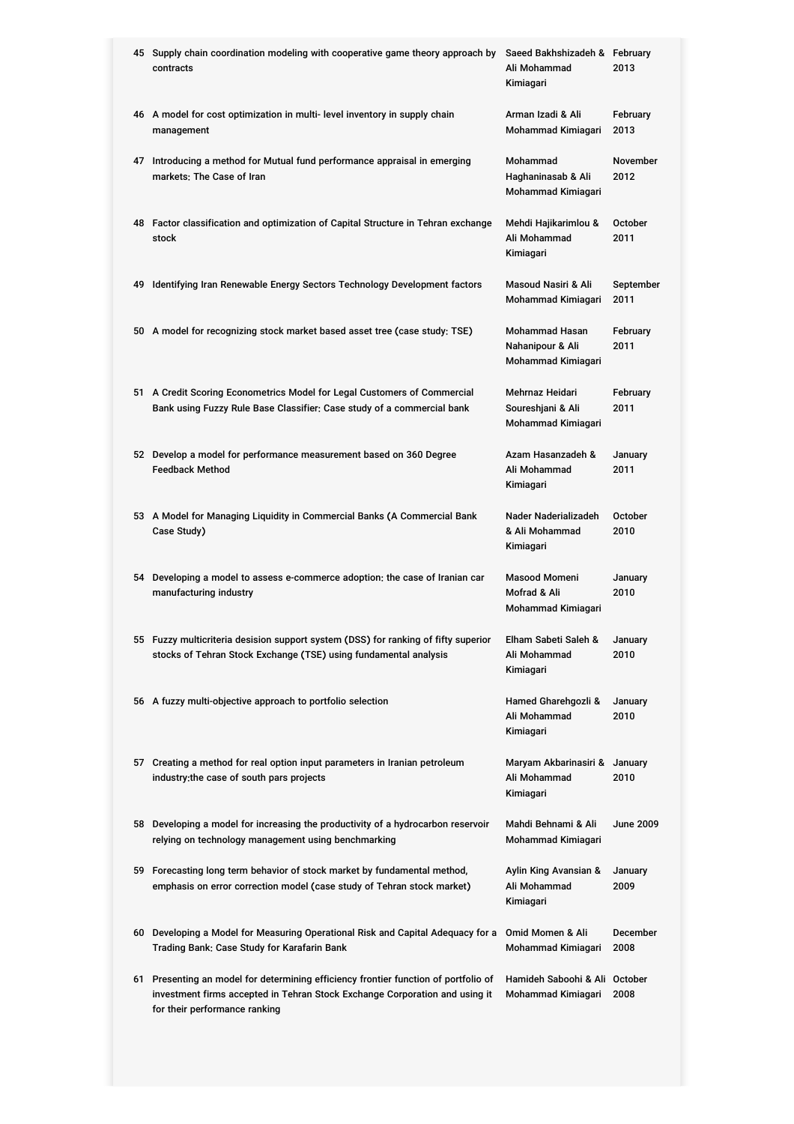|      | 45 Supply chain coordination modeling with cooperative game theory approach by<br>Saeed Bakhshizadeh & February<br>Ali Mohammad<br>contracts<br>Kimiagari                                        |                                                            | 2013              |
|------|--------------------------------------------------------------------------------------------------------------------------------------------------------------------------------------------------|------------------------------------------------------------|-------------------|
|      | 46 A model for cost optimization in multi-level inventory in supply chain<br>management                                                                                                          | Arman Izadi & Ali<br>Mohammad Kimiagari                    | February<br>2013  |
|      | 47 Introducing a method for Mutual fund performance appraisal in emerging<br>markets: The Case of Iran                                                                                           | Mohammad<br>Haghaninasab & Ali<br>Mohammad Kimiagari       | November<br>2012  |
|      | 48 Factor classification and optimization of Capital Structure in Tehran exchange<br>stock                                                                                                       | Mehdi Hajikarimlou &<br>Ali Mohammad<br>Kimiagari          | October<br>2011   |
| 49   | Identifying Iran Renewable Energy Sectors Technology Development factors                                                                                                                         | Masoud Nasiri & Ali<br>Mohammad Kimiagari                  | September<br>2011 |
|      | 50 A model for recognizing stock market based asset tree (case study: TSE)                                                                                                                       | Mohammad Hasan<br>Nahanipour & Ali<br>Mohammad Kimiagari   | February<br>2011  |
|      | 51 A Credit Scoring Econometrics Model for Legal Customers of Commercial<br>Bank using Fuzzy Rule Base Classifier: Case study of a commercial bank                                               | Mehrnaz Heidari<br>Soureshjani & Ali<br>Mohammad Kimiagari | February<br>2011  |
|      | 52 Develop a model for performance measurement based on 360 Degree<br><b>Feedback Method</b>                                                                                                     | Azam Hasanzadeh &<br>Ali Mohammad<br>Kimiagari             | January<br>2011   |
|      | 53 A Model for Managing Liquidity in Commercial Banks (A Commercial Bank<br>Case Study)                                                                                                          | Nader Naderializadeh<br>& Ali Mohammad<br>Kimiagari        | October<br>2010   |
|      | 54 Developing a model to assess e-commerce adoption: the case of Iranian car<br>manufacturing industry                                                                                           | Masood Momeni<br>Mofrad & Ali<br>Mohammad Kimiagari        | January<br>2010   |
|      | 55 Fuzzy multicriteria desision support system (DSS) for ranking of fifty superior<br>stocks of Tehran Stock Exchange (TSE) using fundamental analysis                                           | Elham Sabeti Saleh &<br>Ali Mohammad<br>Kimiagari          | January<br>2010   |
|      | 56 A fuzzy multi-objective approach to portfolio selection                                                                                                                                       | Hamed Gharehgozli &<br>Ali Mohammad<br>Kimiagari           | January<br>2010   |
|      | 57 Creating a method for real option input parameters in Iranian petroleum<br>industry: the case of south pars projects                                                                          | Maryam Akbarinasiri & January<br>Ali Mohammad<br>Kimiagari | 2010              |
| 58   | Developing a model for increasing the productivity of a hydrocarbon reservoir<br>relying on technology management using benchmarking                                                             | Mahdi Behnami & Ali<br>Mohammad Kimiagari                  | <b>June 2009</b>  |
| 59 - | Forecasting long term behavior of stock market by fundamental method,<br>emphasis on error correction model (case study of Tehran stock market)                                                  | Aylin King Avansian &<br>Ali Mohammad<br>Kimiagari         | January<br>2009   |
|      | 60 Developing a Model for Measuring Operational Risk and Capital Adequacy for a<br>Trading Bank: Case Study for Karafarin Bank                                                                   | Omid Momen & Ali<br>Mohammad Kimiagari                     | December<br>2008  |
| 61 - | Presenting an model for determining efficiency frontier function of portfolio of<br>investment firms accepted in Tehran Stock Exchange Corporation and using it<br>for their performance ranking | Hamideh Saboohi & Ali<br>Mohammad Kimiagari                | October<br>2008   |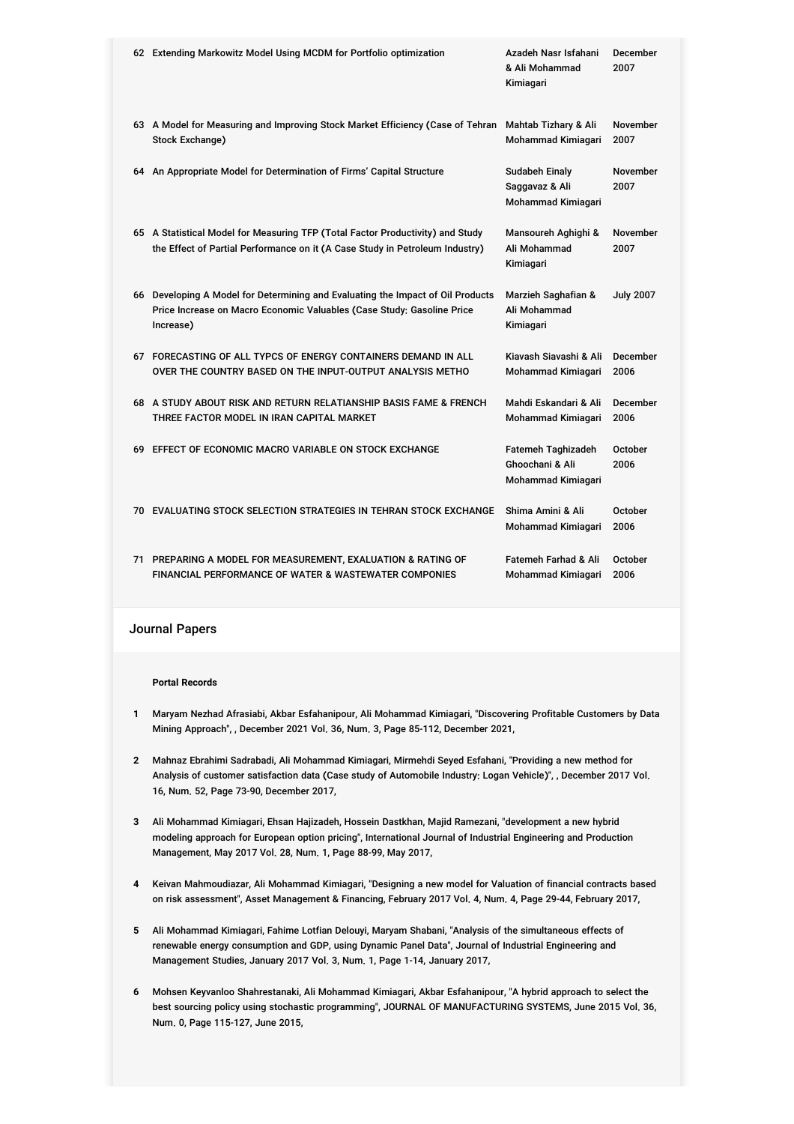| 62 Extending Markowitz Model Using MCDM for Portfolio optimization<br>Azadeh Nasr Isfahani<br>& Ali Mohammad<br>Kimiagari                                              |                                                               | December<br>2007       |
|------------------------------------------------------------------------------------------------------------------------------------------------------------------------|---------------------------------------------------------------|------------------------|
| 63 A Model for Measuring and Improving Stock Market Efficiency (Case of Tehran<br>Stock Exchange)                                                                      | Mahtab Tizhary & Ali<br>Mohammad Kimiagari                    | November<br>2007       |
| 64 An Appropriate Model for Determination of Firms' Capital Structure                                                                                                  | <b>Sudabeh Einaly</b><br>Saggavaz & Ali<br>Mohammad Kimiagari | November<br>2007       |
| 65 A Statistical Model for Measuring TFP (Total Factor Productivity) and Study<br>the Effect of Partial Performance on it (A Case Study in Petroleum Industry)         | Mansoureh Aghighi &<br>Ali Mohammad<br>Kimiagari              | November<br>2007       |
| 66 Developing A Model for Determining and Evaluating the Impact of Oil Products<br>Price Increase on Macro Economic Valuables (Case Study: Gasoline Price<br>Increase) | Marzieh Saghafian &<br>Ali Mohammad<br>Kimiagari              | <b>July 2007</b>       |
| 67 FORECASTING OF ALL TYPCS OF ENERGY CONTAINERS DEMAND IN ALL<br>OVER THE COUNTRY BASED ON THE INPUT-OUTPUT ANALYSIS METHO                                            | Kiavash Siavashi & Ali<br>Mohammad Kimiagari                  | December<br>2006       |
| 68 A STUDY ABOUT RISK AND RETURN RELATIANSHIP BASIS FAME & FRENCH<br>THREE FACTOR MODEL IN IRAN CAPITAL MARKET                                                         | Mahdi Eskandari & Ali<br>Mohammad Kimiagari                   | December<br>2006       |
| 69 EFFECT OF ECONOMIC MACRO VARIABLE ON STOCK EXCHANGE                                                                                                                 | Fatemeh Taghizadeh<br>Ghoochani & Ali<br>Mohammad Kimiagari   | <b>October</b><br>2006 |
| 70 EVALUATING STOCK SELECTION STRATEGIES IN TEHRAN STOCK EXCHANGE                                                                                                      | Shima Amini & Ali<br>Mohammad Kimiagari                       | <b>October</b><br>2006 |
| 71 PREPARING A MODEL FOR MEASUREMENT, EXALUATION & RATING OF<br><b>FINANCIAL PERFORMANCE OF WATER &amp; WASTEWATER COMPONIES</b>                                       | Fatemeh Farhad & Ali<br>Mohammad Kimiagari                    | <b>October</b><br>2006 |

## Journal Papers

#### **Portal Records**

- **1** Maryam Nezhad Afrasiabi, Akbar Esfahanipour, Ali Mohammad Kimiagari, "Discovering Profitable Customers by Data Mining Approach", , December 2021 Vol. 36, Num. 3, Page 85-112, December 2021,
- **2** Mahnaz Ebrahimi Sadrabadi, Ali Mohammad Kimiagari, Mirmehdi Seyed Esfahani, "Providing a new method for Analysis of customer satisfaction data (Case study of Automobile Industry: Logan Vehicle)", , December 2017 Vol. 16, Num. 52, Page 73-90, December 2017,
- **3** Ali Mohammad Kimiagari, Ehsan Hajizadeh, Hossein Dastkhan, Majid Ramezani, "development a new hybrid modeling approach for European option pricing", International Journal of Industrial Engineering and Production Management, May 2017 Vol. 28, Num. 1, Page 88-99, May 2017,
- **4** Keivan Mahmoudiazar, Ali Mohammad Kimiagari, "Designing a new model for Valuation of financial contracts based on risk assessment", Asset Management & Financing, February 2017 Vol. 4, Num. 4, Page 29-44, February 2017,
- **5** Ali Mohammad Kimiagari, Fahime Lotfian Delouyi, Maryam Shabani, "Analysis of the simultaneous effects of renewable energy consumption and GDP, using Dynamic Panel Data", Journal of Industrial Engineering and Management Studies, January 2017 Vol. 3, Num. 1, Page 1-14, January 2017,
- **6** Mohsen Keyvanloo Shahrestanaki, Ali Mohammad Kimiagari, Akbar Esfahanipour, "A hybrid approach to select the best sourcing policy using stochastic programming", JOURNAL OF MANUFACTURING SYSTEMS, June 2015 Vol. 36, Num. 0, Page 115-127, June 2015,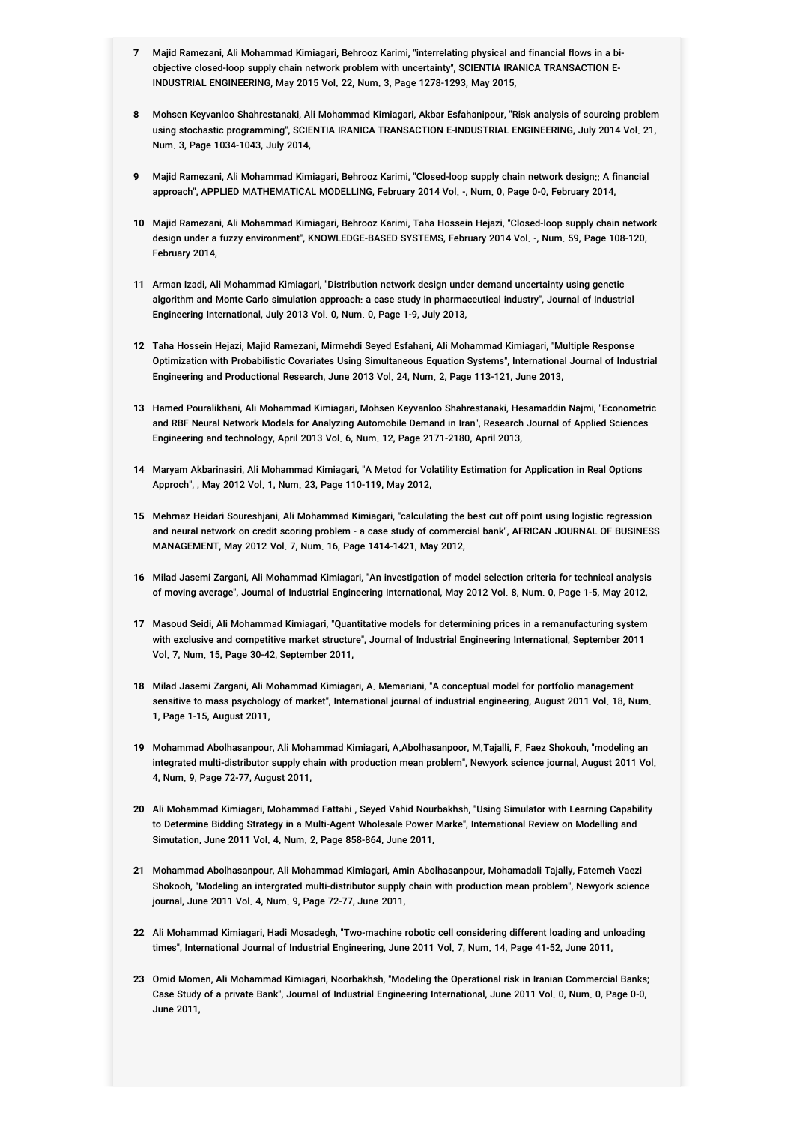- **7** Majid Ramezani, Ali Mohammad Kimiagari, Behrooz Karimi, "interrelating physical and financial flows in a biobjective closed-loop supply chain network problem with uncertainty", SCIENTIA IRANICA TRANSACTION E-INDUSTRIAL ENGINEERING, May 2015 Vol. 22, Num. 3, Page 1278-1293, May 2015,
- **8** Mohsen Keyvanloo Shahrestanaki, Ali Mohammad Kimiagari, Akbar Esfahanipour, "Risk analysis of sourcing problem using stochastic programming", SCIENTIA IRANICA TRANSACTION E-INDUSTRIAL ENGINEERING, July 2014 Vol. 21, Num. 3, Page 1034-1043, July 2014,
- **9** Majid Ramezani, Ali Mohammad Kimiagari, Behrooz Karimi, "Closed-loop supply chain network design:: A financial approach", APPLIED MATHEMATICAL MODELLING, February 2014 Vol. -, Num. 0, Page 0-0, February 2014,
- **10** Majid Ramezani, Ali Mohammad Kimiagari, Behrooz Karimi, Taha Hossein Hejazi, "Closed-loop supply chain network design under a fuzzy environment", KNOWLEDGE-BASED SYSTEMS, February 2014 Vol. -, Num. 59, Page 108-120, February 2014,
- **11** Arman Izadi, Ali Mohammad Kimiagari, "Distribution network design under demand uncertainty using genetic algorithm and Monte Carlo simulation approach: a case study in pharmaceutical industry", Journal of Industrial Engineering International, July 2013 Vol. 0, Num. 0, Page 1-9, July 2013,
- **12** Taha Hossein Hejazi, Majid Ramezani, Mirmehdi Seyed Esfahani, Ali Mohammad Kimiagari, "Multiple Response Optimization with Probabilistic Covariates Using Simultaneous Equation Systems", International Journal of Industrial Engineering and Productional Research, June 2013 Vol. 24, Num. 2, Page 113-121, June 2013,
- **13** Hamed Pouralikhani, Ali Mohammad Kimiagari, Mohsen Keyvanloo Shahrestanaki, Hesamaddin Najmi, "Econometric and RBF Neural Network Models for Analyzing Automobile Demand in Iran", Research Journal of Applied Sciences Engineering and technology, April 2013 Vol. 6, Num. 12, Page 2171-2180, April 2013,
- **14** Maryam Akbarinasiri, Ali Mohammad Kimiagari, "A Metod for Volatility Estimation for Application in Real Options Approch", , May 2012 Vol. 1, Num. 23, Page 110-119, May 2012,
- **15** Mehrnaz Heidari Soureshjani, Ali Mohammad Kimiagari, "calculating the best cut off point using logistic regression and neural network on credit scoring problem - a case study of commercial bank", AFRICAN JOURNAL OF BUSINESS MANAGEMENT, May 2012 Vol. 7, Num. 16, Page 1414-1421, May 2012,
- **16** Milad Jasemi Zargani, Ali Mohammad Kimiagari, "An investigation of model selection criteria for technical analysis of moving average", Journal of Industrial Engineering International, May 2012 Vol. 8, Num. 0, Page 1-5, May 2012,
- **17** Masoud Seidi, Ali Mohammad Kimiagari, "Quantitative models for determining prices in a remanufacturing system with exclusive and competitive market structure", Journal of Industrial Engineering International, September 2011 Vol. 7, Num. 15, Page 30-42, September 2011,
- **18** Milad Jasemi Zargani, Ali Mohammad Kimiagari, A. Memariani, "A conceptual model for portfolio management sensitive to mass psychology of market", International journal of industrial engineering, August 2011 Vol. 18, Num. 1, Page 1-15, August 2011,
- **19** Mohammad Abolhasanpour, Ali Mohammad Kimiagari, A.Abolhasanpoor, M.Tajalli, F. Faez Shokouh, "modeling an integrated multi-distributor supply chain with production mean problem", Newyork science journal, August 2011 Vol. 4, Num. 9, Page 72-77, August 2011,
- **20** Ali Mohammad Kimiagari, Mohammad Fattahi , Seyed Vahid Nourbakhsh, "Using Simulator with Learning Capability to Determine Bidding Strategy in a Multi-Agent Wholesale Power Marke", International Review on Modelling and Simutation, June 2011 Vol. 4, Num. 2, Page 858-864, June 2011,
- **21** Mohammad Abolhasanpour, Ali Mohammad Kimiagari, Amin Abolhasanpour, Mohamadali Tajally, Fatemeh Vaezi Shokooh, "Modeling an intergrated multi-distributor supply chain with production mean problem", Newyork science journal, June 2011 Vol. 4, Num. 9, Page 72-77, June 2011,
- **22** Ali Mohammad Kimiagari, Hadi Mosadegh, "Two-machine robotic cell considering different loading and unloading times", International Journal of Industrial Engineering, June 2011 Vol. 7, Num. 14, Page 41-52, June 2011,
- **23** Omid Momen, Ali Mohammad Kimiagari, Noorbakhsh, "Modeling the Operational risk in Iranian Commercial Banks; Case Study of a private Bank", Journal of Industrial Engineering International, June 2011 Vol. 0, Num. 0, Page 0-0, June 2011,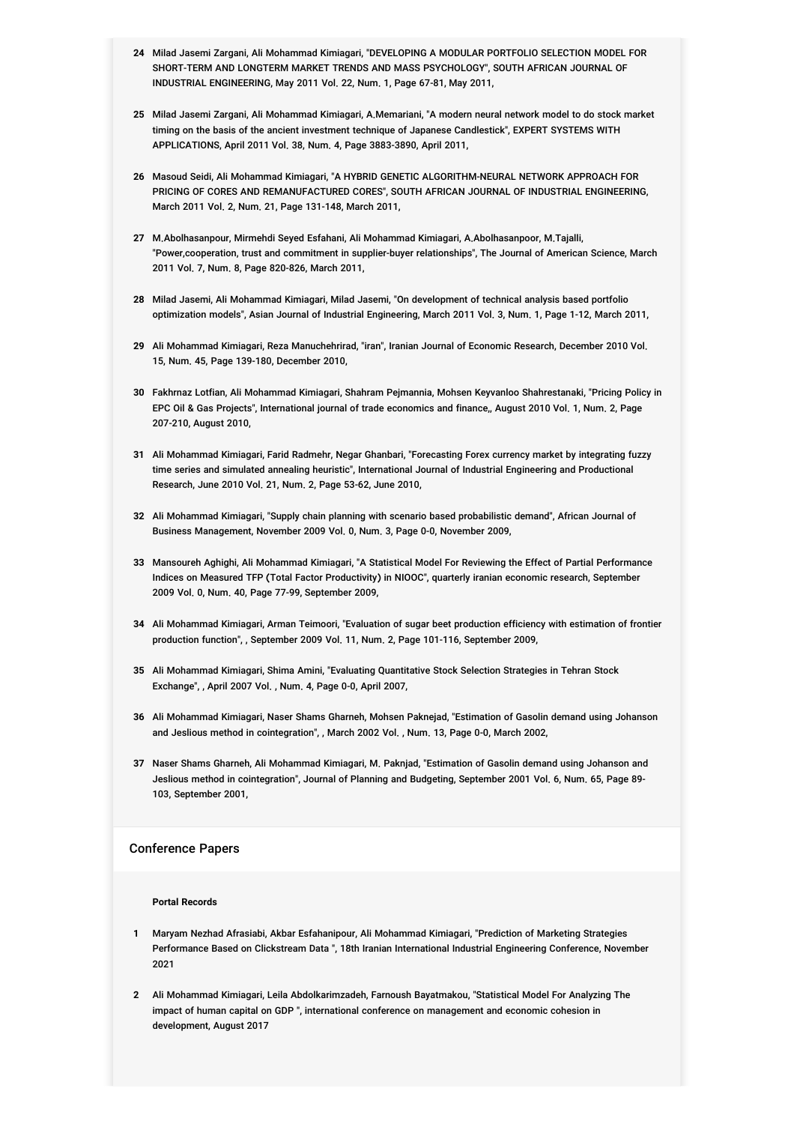- **24** Milad Jasemi Zargani, Ali Mohammad Kimiagari, "DEVELOPING A MODULAR PORTFOLIO SELECTION MODEL FOR SHORT-TERM AND LONGTERM MARKET TRENDS AND MASS PSYCHOLOGY", SOUTH AFRICAN JOURNAL OF INDUSTRIAL ENGINEERING, May 2011 Vol. 22, Num. 1, Page 67-81, May 2011,
- **25** Milad Jasemi Zargani, Ali Mohammad Kimiagari, A.Memariani, "A modern neural network model to do stock market timing on the basis of the ancient investment technique of Japanese Candlestick", EXPERT SYSTEMS WITH APPLICATIONS, April 2011 Vol. 38, Num. 4, Page 3883-3890, April 2011,
- **26** Masoud Seidi, Ali Mohammad Kimiagari, "A HYBRID GENETIC ALGORITHM-NEURAL NETWORK APPROACH FOR PRICING OF CORES AND REMANUFACTURED CORES", SOUTH AFRICAN JOURNAL OF INDUSTRIAL ENGINEERING, March 2011 Vol. 2, Num. 21, Page 131-148, March 2011,
- **27** M.Abolhasanpour, Mirmehdi Seyed Esfahani, Ali Mohammad Kimiagari, A.Abolhasanpoor, M.Tajalli, "Power,cooperation, trust and commitment in supplier-buyer relationships", The Journal of American Science, March 2011 Vol. 7, Num. 8, Page 820-826, March 2011,
- **28** Milad Jasemi, Ali Mohammad Kimiagari, Milad Jasemi, "On development of technical analysis based portfolio optimization models", Asian Journal of Industrial Engineering, March 2011 Vol. 3, Num. 1, Page 1-12, March 2011,
- **29** Ali Mohammad Kimiagari, Reza Manuchehrirad, "iran", Iranian Journal of Economic Research, December 2010 Vol. 15, Num. 45, Page 139-180, December 2010,
- **30** Fakhrnaz Lotfian, Ali Mohammad Kimiagari, Shahram Pejmannia, Mohsen Keyvanloo Shahrestanaki, "Pricing Policy in EPC Oil & Gas Projects", International journal of trade economics and finance,, August 2010 Vol. 1, Num. 2, Page 207-210, August 2010,
- **31** Ali Mohammad Kimiagari, Farid Radmehr, Negar Ghanbari, "Forecasting Forex currency market by integrating fuzzy time series and simulated annealing heuristic", International Journal of Industrial Engineering and Productional Research, June 2010 Vol. 21, Num. 2, Page 53-62, June 2010,
- **32** Ali Mohammad Kimiagari, "Supply chain planning with scenario based probabilistic demand", African Journal of Business Management, November 2009 Vol. 0, Num. 3, Page 0-0, November 2009,
- **33** Mansoureh Aghighi, Ali Mohammad Kimiagari, "A Statistical Model For Reviewing the Effect of Partial Performance Indices on Measured TFP (Total Factor Productivity) in NIOOC", quarterly iranian economic research, September 2009 Vol. 0, Num. 40, Page 77-99, September 2009,
- **34** Ali Mohammad Kimiagari, Arman Teimoori, "Evaluation of sugar beet production efficiency with estimation of frontier production function", , September 2009 Vol. 11, Num. 2, Page 101-116, September 2009,
- **35** Ali Mohammad Kimiagari, Shima Amini, "Evaluating Quantitative Stock Selection Strategies in Tehran Stock Exchange", , April 2007 Vol. , Num. 4, Page 0-0, April 2007,
- **36** Ali Mohammad Kimiagari, Naser Shams Gharneh, Mohsen Paknejad, "Estimation of Gasolin demand using Johanson and Jeslious method in cointegration", , March 2002 Vol. , Num. 13, Page 0-0, March 2002,
- **37** Naser Shams Gharneh, Ali Mohammad Kimiagari, M. Paknjad, "Estimation of Gasolin demand using Johanson and Jeslious method in cointegration", Journal of Planning and Budgeting, September 2001 Vol. 6, Num. 65, Page 89- 103, September 2001,

### Conference Papers

#### **Portal Records**

- **1** Maryam Nezhad Afrasiabi, Akbar Esfahanipour, Ali Mohammad Kimiagari, "Prediction of Marketing Strategies Performance Based on Clickstream Data ", 18th Iranian International Industrial Engineering Conference, November 2021
- **2** Ali Mohammad Kimiagari, Leila Abdolkarimzadeh, Farnoush Bayatmakou, "Statistical Model For Analyzing The impact of human capital on GDP ", international conference on management and economic cohesion in development, August 2017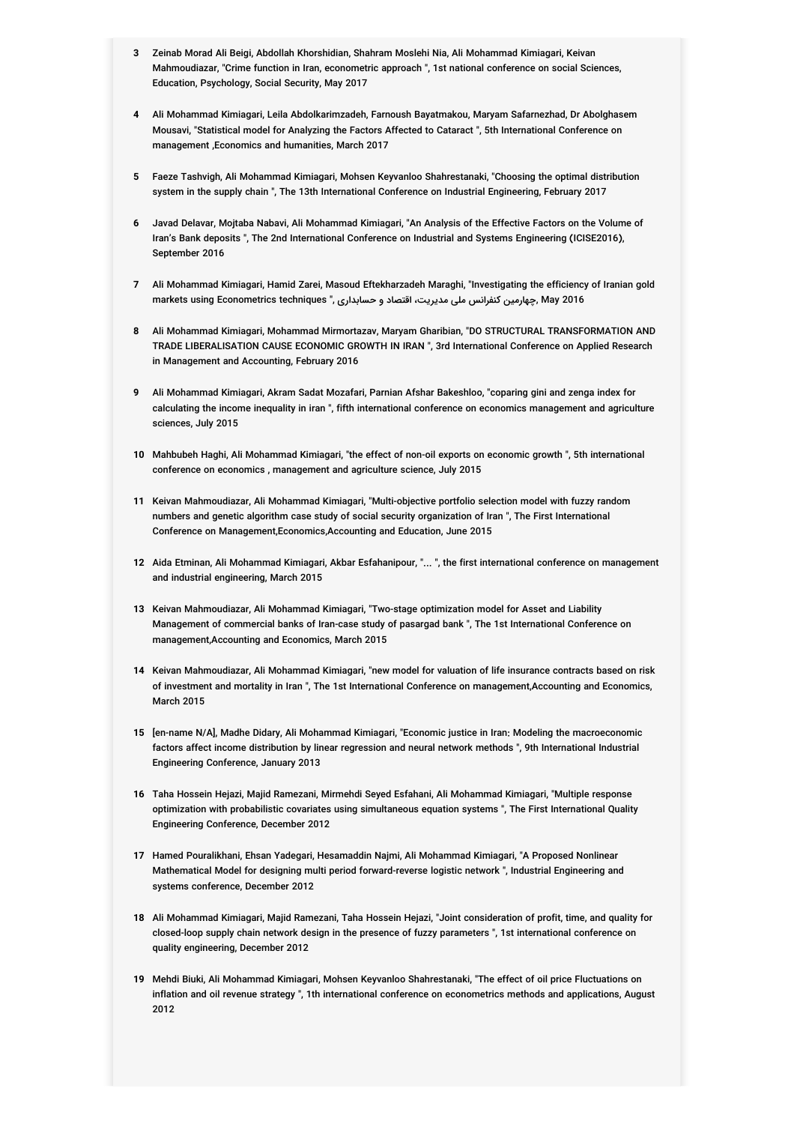- **3** Zeinab Morad Ali Beigi, Abdollah Khorshidian, Shahram Moslehi Nia, Ali Mohammad Kimiagari, Keivan Mahmoudiazar, "Crime function in Iran, econometric approach ", 1st national conference on social Sciences, Education, Psychology, Social Security, May 2017
- **4** Ali Mohammad Kimiagari, Leila Abdolkarimzadeh, Farnoush Bayatmakou, Maryam Safarnezhad, Dr Abolghasem Mousavi, "Statistical model for Analyzing the Factors Affected to Cataract ", 5th International Conference on management ,Economics and humanities, March 2017
- **5** Faeze Tashvigh, Ali Mohammad Kimiagari, Mohsen Keyvanloo Shahrestanaki, "Choosing the optimal distribution system in the supply chain ", The 13th International Conference on Industrial Engineering, February 2017
- **6** Javad Delavar, Mojtaba Nabavi, Ali Mohammad Kimiagari, "An Analysis of the Effective Factors on the Volume of Iran's Bank deposits ", The 2nd International Conference on Industrial and Systems Engineering (ICISE2016), September 2016
- **7** Ali Mohammad Kimiagari, Hamid Zarei, Masoud Eftekharzadeh Maraghi, "Investigating the efficiency of Iranian gold 2016 May ,چهارمین کنفرانس ملی مدیریت، اقتصاد و حسابداری ," techniques Econometrics using markets
- **8** Ali Mohammad Kimiagari, Mohammad Mirmortazav, Maryam Gharibian, "DO STRUCTURAL TRANSFORMATION AND TRADE LIBERALISATION CAUSE ECONOMIC GROWTH IN IRAN ", 3rd International Conference on Applied Research in Management and Accounting, February 2016
- **9** Ali Mohammad Kimiagari, Akram Sadat Mozafari, Parnian Afshar Bakeshloo, "coparing gini and zenga index for calculating the income inequality in iran ", fifth international conference on economics management and agriculture sciences, July 2015
- **10** Mahbubeh Haghi, Ali Mohammad Kimiagari, "the effect of non-oil exports on economic growth ", 5th international conference on economics , management and agriculture science, July 2015
- **11** Keivan Mahmoudiazar, Ali Mohammad Kimiagari, "Multi-objective portfolio selection model with fuzzy random numbers and genetic algorithm case study of social security organization of Iran ", The First International Conference on Management,Economics,Accounting and Education, June 2015
- **12** Aida Etminan, Ali Mohammad Kimiagari, Akbar Esfahanipour, "... ", the first international conference on management and industrial engineering, March 2015
- **13** Keivan Mahmoudiazar, Ali Mohammad Kimiagari, "Two-stage optimization model for Asset and Liability Management of commercial banks of Iran-case study of pasargad bank ", The 1st International Conference on management,Accounting and Economics, March 2015
- **14** Keivan Mahmoudiazar, Ali Mohammad Kimiagari, "new model for valuation of life insurance contracts based on risk of investment and mortality in Iran ", The 1st International Conference on management,Accounting and Economics, March 2015
- **15** [en-name N/A], Madhe Didary, Ali Mohammad Kimiagari, "Economic justice in Iran: Modeling the macroeconomic factors affect income distribution by linear regression and neural network methods ", 9th International Industrial Engineering Conference, January 2013
- **16** Taha Hossein Hejazi, Majid Ramezani, Mirmehdi Seyed Esfahani, Ali Mohammad Kimiagari, "Multiple response optimization with probabilistic covariates using simultaneous equation systems ", The First International Quality Engineering Conference, December 2012
- **17** Hamed Pouralikhani, Ehsan Yadegari, Hesamaddin Najmi, Ali Mohammad Kimiagari, "A Proposed Nonlinear Mathematical Model for designing multi period forward-reverse logistic network ", Industrial Engineering and systems conference, December 2012
- **18** Ali Mohammad Kimiagari, Majid Ramezani, Taha Hossein Hejazi, "Joint consideration of profit, time, and quality for closed-loop supply chain network design in the presence of fuzzy parameters ", 1st international conference on quality engineering, December 2012
- **19** Mehdi Biuki, Ali Mohammad Kimiagari, Mohsen Keyvanloo Shahrestanaki, "The effect of oil price Fluctuations on inflation and oil revenue strategy ", 1th international conference on econometrics methods and applications, August 2012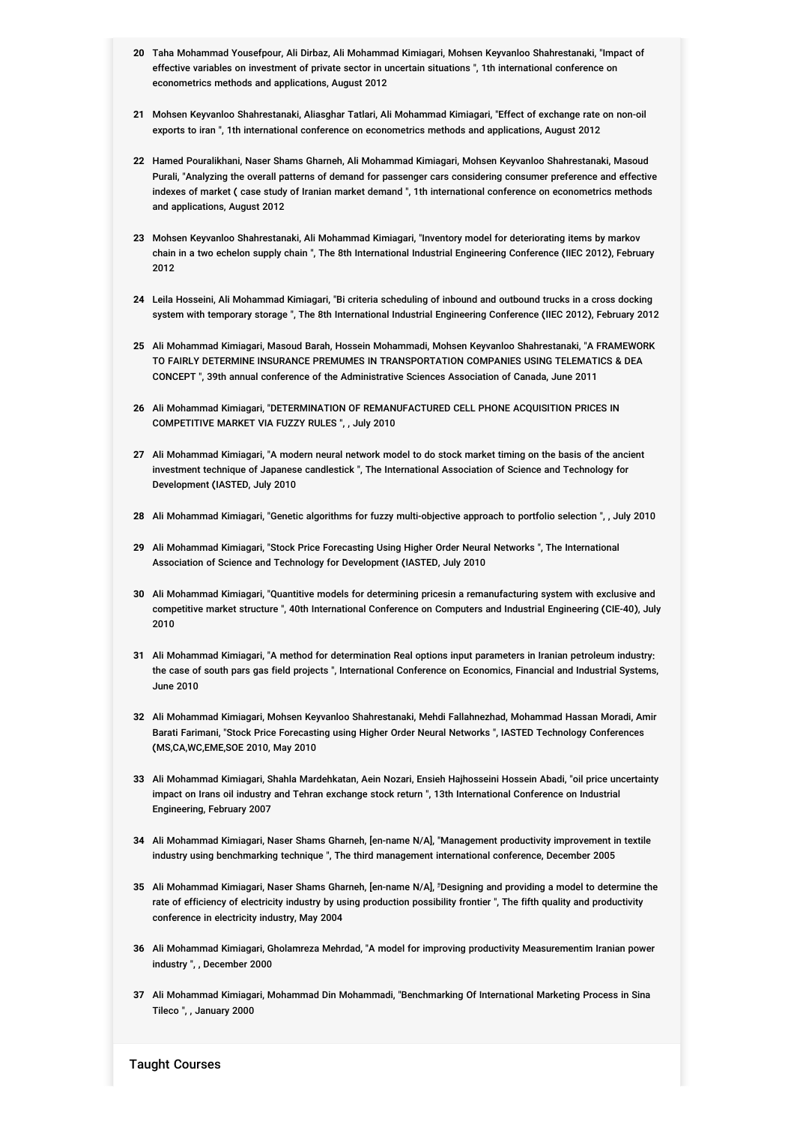- **20** Taha Mohammad Yousefpour, Ali Dirbaz, Ali Mohammad Kimiagari, Mohsen Keyvanloo Shahrestanaki, "Impact of effective variables on investment of private sector in uncertain situations ", 1th international conference on econometrics methods and applications, August 2012
- **21** Mohsen Keyvanloo Shahrestanaki, Aliasghar Tatlari, Ali Mohammad Kimiagari, "Effect of exchange rate on non-oil exports to iran ", 1th international conference on econometrics methods and applications, August 2012
- **22** Hamed Pouralikhani, Naser Shams Gharneh, Ali Mohammad Kimiagari, Mohsen Keyvanloo Shahrestanaki, Masoud Purali, "Analyzing the overall patterns of demand for passenger cars considering consumer preference and effective indexes of market ( case study of Iranian market demand ", 1th international conference on econometrics methods and applications, August 2012
- **23** Mohsen Keyvanloo Shahrestanaki, Ali Mohammad Kimiagari, "Inventory model for deteriorating items by markov chain in a two echelon supply chain ", The 8th International Industrial Engineering Conference (IIEC 2012), February 2012
- **24** Leila Hosseini, Ali Mohammad Kimiagari, "Bi criteria scheduling of inbound and outbound trucks in a cross docking system with temporary storage ", The 8th International Industrial Engineering Conference (IIEC 2012), February 2012
- **25** Ali Mohammad Kimiagari, Masoud Barah, Hossein Mohammadi, Mohsen Keyvanloo Shahrestanaki, "A FRAMEWORK TO FAIRLY DETERMINE INSURANCE PREMUMES IN TRANSPORTATION COMPANIES USING TELEMATICS & DEA CONCEPT ", 39th annual conference of the Administrative Sciences Association of Canada, June 2011
- **26** Ali Mohammad Kimiagari, "DETERMINATION OF REMANUFACTURED CELL PHONE ACQUISITION PRICES IN COMPETITIVE MARKET VIA FUZZY RULES ", , July 2010
- **27** Ali Mohammad Kimiagari, "A modern neural network model to do stock market timing on the basis of the ancient investment technique of Japanese candlestick ", The International Association of Science and Technology for Development (IASTED, July 2010
- **28** Ali Mohammad Kimiagari, "Genetic algorithms for fuzzy multi-objective approach to portfolio selection ", , July 2010
- **29** Ali Mohammad Kimiagari, "Stock Price Forecasting Using Higher Order Neural Networks ", The International Association of Science and Technology for Development (IASTED, July 2010
- **30** Ali Mohammad Kimiagari, "Quantitive models for determining pricesin a remanufacturing system with exclusive and competitive market structure ", 40th International Conference on Computers and Industrial Engineering (CIE-40), July 2010
- **31** Ali Mohammad Kimiagari, "A method for determination Real options input parameters in Iranian petroleum industry: the case of south pars gas field projects ", International Conference on Economics, Financial and Industrial Systems, June 2010
- **32** Ali Mohammad Kimiagari, Mohsen Keyvanloo Shahrestanaki, Mehdi Fallahnezhad, Mohammad Hassan Moradi, Amir Barati Farimani, "Stock Price Forecasting using Higher Order Neural Networks ", IASTED Technology Conferences (MS,CA,WC,EME,SOE 2010, May 2010
- **33** Ali Mohammad Kimiagari, Shahla Mardehkatan, Aein Nozari, Ensieh Hajhosseini Hossein Abadi, "oil price uncertainty impact on Irans oil industry and Tehran exchange stock return ", 13th International Conference on Industrial Engineering, February 2007
- **34** Ali Mohammad Kimiagari, Naser Shams Gharneh, [en-name N/A], "Management productivity improvement in textile industry using benchmarking technique ", The third management international conference, December 2005
- 35 Ali Mohammad Kimiagari, Naser Shams Gharneh, [en-name N/A], <sup>u</sup>Designing and providing a model to determine the rate of efficiency of electricity industry by using production possibility frontier ", The fifth quality and productivity conference in electricity industry, May 2004
- **36** Ali Mohammad Kimiagari, Gholamreza Mehrdad, "A model for improving productivity Measurementim Iranian power industry ", , December 2000
- **37** Ali Mohammad Kimiagari, Mohammad Din Mohammadi, "Benchmarking Of International Marketing Process in Sina Tileco ", , January 2000

### Taught Courses